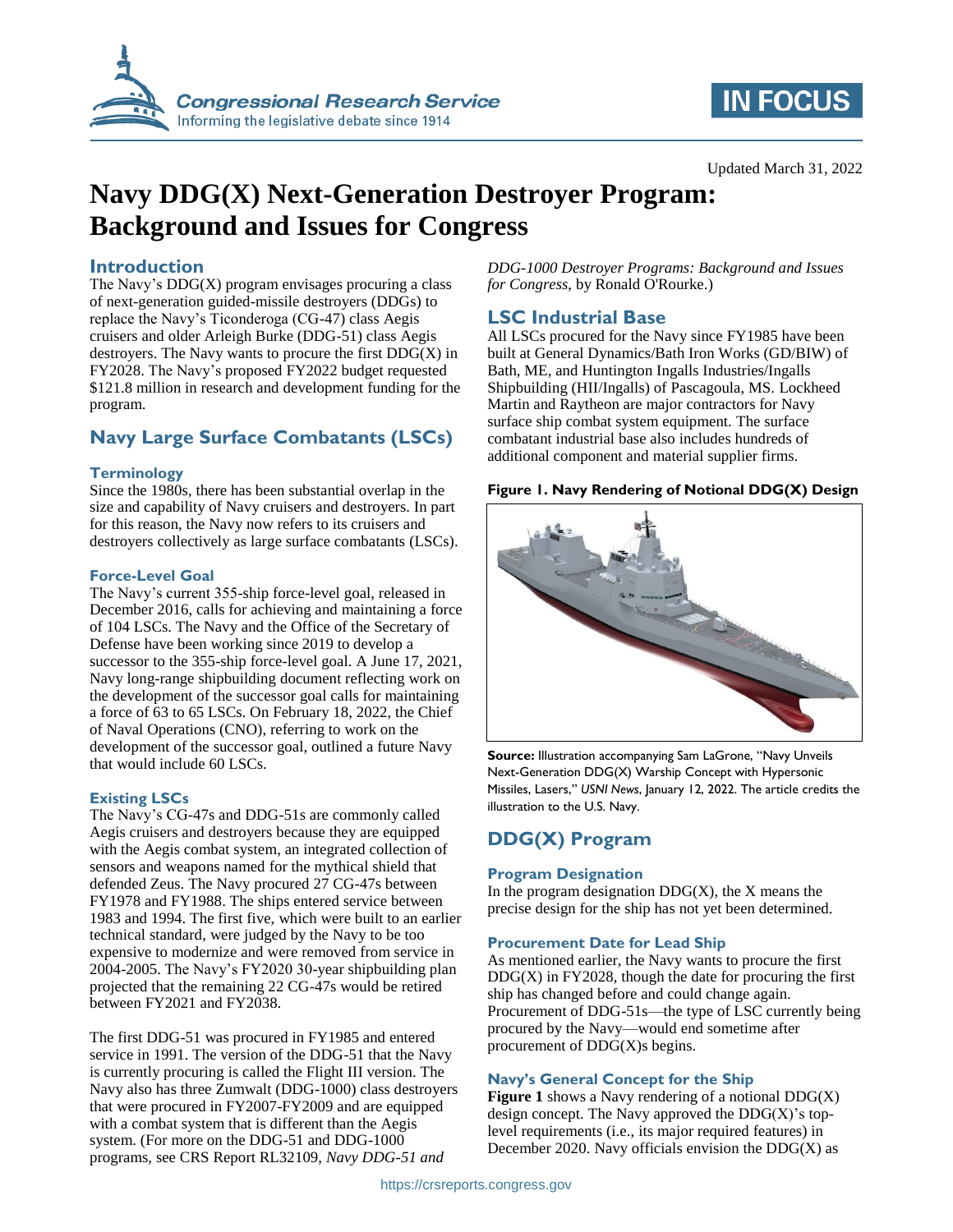

# **IN FOCUS**

# **Navy DDG(X) Next-Generation Destroyer Program: Background and Issues for Congress**

### **Introduction**

The Navy's  $DDG(X)$  program envisages procuring a class of next-generation guided-missile destroyers (DDGs) to replace the Navy's Ticonderoga (CG-47) class Aegis cruisers and older Arleigh Burke (DDG-51) class Aegis destroyers. The Navy wants to procure the first  $DDG(X)$  in FY2028. The Navy's proposed FY2022 budget requested \$121.8 million in research and development funding for the program.

## **Navy Large Surface Combatants (LSCs)**

### **Terminology**

Since the 1980s, there has been substantial overlap in the size and capability of Navy cruisers and destroyers. In part for this reason, the Navy now refers to its cruisers and destroyers collectively as large surface combatants (LSCs).

### **Force-Level Goal**

The Navy's current 355-ship force-level goal, released in December 2016, calls for achieving and maintaining a force of 104 LSCs. The Navy and the Office of the Secretary of Defense have been working since 2019 to develop a successor to the 355-ship force-level goal. A June 17, 2021, Navy long-range shipbuilding document reflecting work on the development of the successor goal calls for maintaining a force of 63 to 65 LSCs. On February 18, 2022, the Chief of Naval Operations (CNO), referring to work on the development of the successor goal, outlined a future Navy that would include 60 LSCs.

### **Existing LSCs**

The Navy's CG-47s and DDG-51s are commonly called Aegis cruisers and destroyers because they are equipped with the Aegis combat system, an integrated collection of sensors and weapons named for the mythical shield that defended Zeus. The Navy procured 27 CG-47s between FY1978 and FY1988. The ships entered service between 1983 and 1994. The first five, which were built to an earlier technical standard, were judged by the Navy to be too expensive to modernize and were removed from service in 2004-2005. The Navy's FY2020 30-year shipbuilding plan projected that the remaining 22 CG-47s would be retired between FY2021 and FY2038.

The first DDG-51 was procured in FY1985 and entered service in 1991. The version of the DDG-51 that the Navy is currently procuring is called the Flight III version. The Navy also has three Zumwalt (DDG-1000) class destroyers that were procured in FY2007-FY2009 and are equipped with a combat system that is different than the Aegis system. (For more on the DDG-51 and DDG-1000 programs, see CRS Report RL32109, *Navy DDG-51 and* 

*DDG-1000 Destroyer Programs: Background and Issues for Congress*, by Ronald O'Rourke.)

### **LSC Industrial Base**

All LSCs procured for the Navy since FY1985 have been built at General Dynamics/Bath Iron Works (GD/BIW) of Bath, ME, and Huntington Ingalls Industries/Ingalls Shipbuilding (HII/Ingalls) of Pascagoula, MS. Lockheed Martin and Raytheon are major contractors for Navy surface ship combat system equipment. The surface combatant industrial base also includes hundreds of additional component and material supplier firms.

### <span id="page-0-0"></span>**Figure 1. Navy Rendering of Notional DDG(X) Design**



**Source:** Illustration accompanying Sam LaGrone, "Navy Unveils Next-Generation DDG(X) Warship Concept with Hypersonic Missiles, Lasers," *USNI News*, January 12, 2022. The article credits the illustration to the U.S. Navy.

## **DDG(X) Program**

### **Program Designation**

In the program designation  $DDG(X)$ , the X means the precise design for the ship has not yet been determined.

### **Procurement Date for Lead Ship**

As mentioned earlier, the Navy wants to procure the first  $DDG(X)$  in  $FY2028$ , though the date for procuring the first ship has changed before and could change again. Procurement of DDG-51s—the type of LSC currently being procured by the Navy—would end sometime after procurement of DDG(X)s begins.

### **Navy's General Concept for the Ship**

**[Figure 1](#page-0-0)** shows a Navy rendering of a notional DDG(X) design concept. The Navy approved the  $DDG(X)$ 's toplevel requirements (i.e., its major required features) in December 2020. Navy officials envision the  $DDG(X)$  as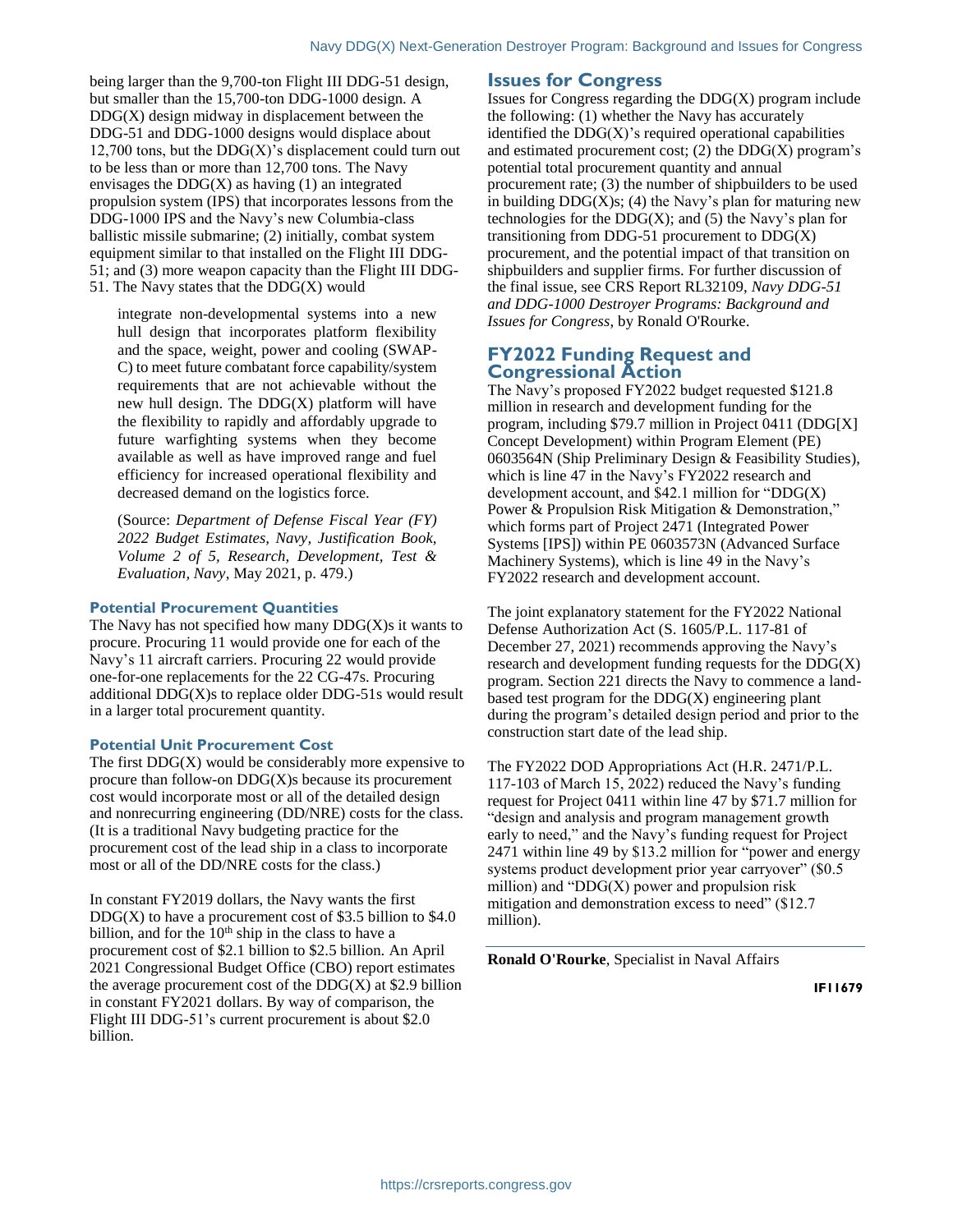being larger than the 9,700-ton Flight III DDG-51 design, but smaller than the 15,700-ton DDG-1000 design. A  $DDG(X)$  design midway in displacement between the DDG-51 and DDG-1000 designs would displace about 12,700 tons, but the  $DDG(X)$ 's displacement could turn out to be less than or more than 12,700 tons. The Navy envisages the  $DDG(X)$  as having (1) an integrated propulsion system (IPS) that incorporates lessons from the DDG-1000 IPS and the Navy's new Columbia-class ballistic missile submarine; (2) initially, combat system equipment similar to that installed on the Flight III DDG-51; and (3) more weapon capacity than the Flight III DDG-51. The Navy states that the  $DDG(X)$  would

integrate non-developmental systems into a new hull design that incorporates platform flexibility and the space, weight, power and cooling (SWAP-C) to meet future combatant force capability/system requirements that are not achievable without the new hull design. The  $DDG(X)$  platform will have the flexibility to rapidly and affordably upgrade to future warfighting systems when they become available as well as have improved range and fuel efficiency for increased operational flexibility and decreased demand on the logistics force.

(Source: *Department of Defense Fiscal Year (FY) 2022 Budget Estimates, Navy, Justification Book, Volume 2 of 5, Research, Development, Test & Evaluation, Navy*, May 2021, p. 479.)

#### **Potential Procurement Quantities**

The Navy has not specified how many  $DDG(X)$ s it wants to procure. Procuring 11 would provide one for each of the Navy's 11 aircraft carriers. Procuring 22 would provide one-for-one replacements for the 22 CG-47s. Procuring additional  $DDG(X)$ s to replace older  $DDG-51s$  would result in a larger total procurement quantity.

#### **Potential Unit Procurement Cost**

The first  $DDG(X)$  would be considerably more expensive to procure than follow-on DDG(X)s because its procurement cost would incorporate most or all of the detailed design and nonrecurring engineering (DD/NRE) costs for the class. (It is a traditional Navy budgeting practice for the procurement cost of the lead ship in a class to incorporate most or all of the DD/NRE costs for the class.)

In constant FY2019 dollars, the Navy wants the first  $DDG(X)$  to have a procurement cost of \$3.5 billion to \$4.0 billion, and for the  $10<sup>th</sup>$  ship in the class to have a procurement cost of \$2.1 billion to \$2.5 billion. An April 2021 Congressional Budget Office (CBO) report estimates the average procurement cost of the  $DDG(X)$  at \$2.9 billion in constant FY2021 dollars. By way of comparison, the Flight III DDG-51's current procurement is about \$2.0 billion.

#### **Issues for Congress**

Issues for Congress regarding the DDG(X) program include the following: (1) whether the Navy has accurately identified the  $DDG(X)$ 's required operational capabilities and estimated procurement cost;  $(2)$  the DDG(X) program's potential total procurement quantity and annual procurement rate; (3) the number of shipbuilders to be used in building  $DDG(X)s$ ; (4) the Navy's plan for maturing new technologies for the  $DDG(X)$ ; and (5) the Navy's plan for transitioning from DDG-51 procurement to  $DDG(X)$ procurement, and the potential impact of that transition on shipbuilders and supplier firms. For further discussion of the final issue, see CRS Report RL32109, *Navy DDG-51 and DDG-1000 Destroyer Programs: Background and Issues for Congress*, by Ronald O'Rourke.

### **FY2022 Funding Request and Congressional Action**

The Navy's proposed FY2022 budget requested \$121.8 million in research and development funding for the program, including \$79.7 million in Project 0411 (DDG[X] Concept Development) within Program Element (PE) 0603564N (Ship Preliminary Design & Feasibility Studies), which is line 47 in the Navy's FY2022 research and development account, and \$42.1 million for "DDG(X) Power & Propulsion Risk Mitigation & Demonstration," which forms part of Project 2471 (Integrated Power Systems [IPS]) within PE 0603573N (Advanced Surface Machinery Systems), which is line 49 in the Navy's FY2022 research and development account.

The joint explanatory statement for the FY2022 National Defense Authorization Act (S. 1605/P.L. 117-81 of December 27, 2021) recommends approving the Navy's research and development funding requests for the DDG(X) program. Section 221 directs the Navy to commence a landbased test program for the  $DDG(X)$  engineering plant during the program's detailed design period and prior to the construction start date of the lead ship.

The FY2022 DOD Appropriations Act (H.R. 2471/P.L. 117-103 of March 15, 2022) reduced the Navy's funding request for Project 0411 within line 47 by \$71.7 million for "design and analysis and program management growth early to need," and the Navy's funding request for Project 2471 within line 49 by \$13.2 million for "power and energy systems product development prior year carryover" (\$0.5) million) and "DDG $(X)$  power and propulsion risk mitigation and demonstration excess to need" (\$12.7) million).

**Ronald O'Rourke**, Specialist in Naval Affairs

**IF11679**